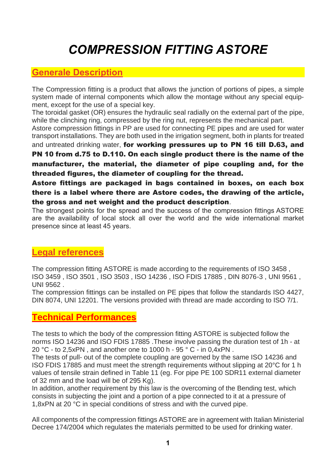# *COMPRESSION FITTING ASTORE*

## **Generale Description**

The Compression fitting is a product that allows the junction of portions of pipes, a simple system made of internal components which allow the montage without any special equipment, except for the use of a special key.

The toroidal gasket (OR) ensures the hydraulic seal radially on the external part of the pipe, while the clinching ring, compressed by the ring nut, represents the mechanical part.

Astore compression fittings in PP are used for connecting PE pipes and are used for water transport installations. They are both used in the irrigation segment, both in plants for treated

and untreated drinking water, for working pressures up to PN 16 till D.63, and PN 10 from d.75 to D.110. On each single product there is the name of the manufacturer, the material, the diameter of pipe coupling and, for the threaded figures, the diameter of coupling for the thread.

Astore fittings are packaged in bags contained in boxes, on each box there is a label where there are Astore codes, the drawing of the article, the gross and net weight and the product description.

The strongest points for the spread and the success of the compression fittings ASTORE are the availability of local stock all over the world and the wide international market presence since at least 45 years.

# **Legal references**

The compression fitting ASTORE is made according to the requirements of ISO 3458 , ISO 3459 , ISO 3501 , ISO 3503 , ISO 14236 , ISO FDIS 17885 , DIN 8076-3 , UNI 9561 , UNI 9562 .

The compression fittings can be installed on PE pipes that follow the standards ISO 4427, DIN 8074, UNI 12201. The versions provided with thread are made according to ISO 7/1.

## **Technical Performances**

The tests to which the body of the compression fitting ASTORE is subjected follow the norms ISO 14236 and ISO FDIS 17885 .These involve passing the duration test of 1h - at 20 °C - to 2.5xPN, and another one to 1000 h -  $95$  ° C - in 0.4xPN.

The tests of pull- out of the complete coupling are governed by the same ISO 14236 and ISO FDIS 17885 and must meet the strength requirements without slipping at 20°C for 1 h values of tensile strain defined in Table 11 (eg. For pipe PE 100 SDR11 external diameter of 32 mm and the load will be of 295 Kg).

In addition, another requirement by this law is the overcoming of the Bending test, which consists in subjecting the joint and a portion of a pipe connected to it at a pressure of 1,8xPN at 20 °C in special conditions of stress and with the curved pipe.

All components of the compression fittings ASTORE are in agreement with Italian Ministerial Decree 174/2004 which regulates the materials permitted to be used for drinking water.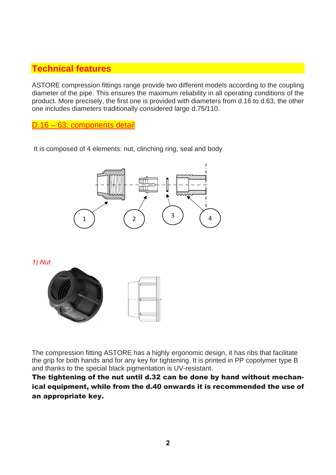# **Technical features**

ASTORE compression fittings range provide two different models according to the coupling diameter of the pipe. This ensures the maximum reliability in all operating conditions of the product. More precisely, the first one is provided with diameters from d.16 to d.63, the other one includes diameters traditionally considered large d.75/110.

D.16 – 63: components detail

It is composed of 4 elements: nut, clinching ring, seal and body



*1) Nut* 



The compression fitting ASTORE has a highly ergonomic design, it has ribs that facilitate the grip for both hands and for any key for tightening. It is printed in PP copolymer type B and thanks to the special black pigmentation is UV-resistant.

The tightening of the nut until d.32 can be done by hand without mechanical equipment, while from the d.40 onwards it is recommended the use of an appropriate key.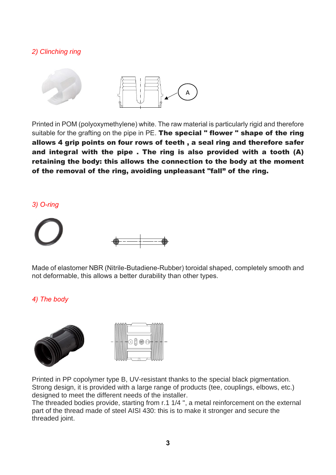## *2) Clinching ring*



Printed in POM (polyoxymethylene) white. The raw material is particularly rigid and therefore suitable for the grafting on the pipe in PE. The special " flower " shape of the ring allows 4 grip points on four rows of teeth , a seal ring and therefore safer and integral with the pipe . The ring is also provided with a tooth (A) retaining the body: this allows the connection to the body at the moment of the removal of the ring, avoiding unpleasant "fall" of the ring.

#### *3) O-ring*



Made of elastomer NBR (Nitrile-Butadiene-Rubber) toroidal shaped, completely smooth and not deformable, this allows a better durability than other types.

#### *4) The body*



Printed in PP copolymer type B, UV-resistant thanks to the special black pigmentation. Strong design, it is provided with a large range of products (tee, couplings, elbows, etc.) designed to meet the different needs of the installer.

The threaded bodies provide, starting from r.1 1/4 ", a metal reinforcement on the external part of the thread made of steel AISI 430: this is to make it stronger and secure the threaded joint.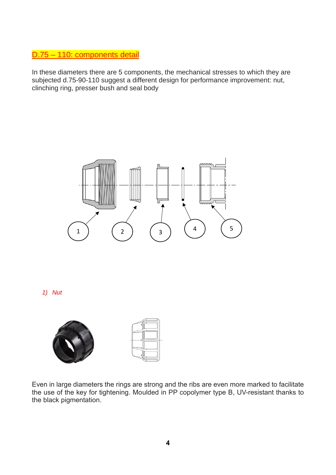## D.75 – 110: components detail

In these diameters there are 5 components, the mechanical stresses to which they are subjected d.75-90-110 suggest a different design for performance improvement: nut, clinching ring, presser bush and seal body



*1) Nut*



Even in large diameters the rings are strong and the ribs are even more marked to facilitate the use of the key for tightening. Moulded in PP copolymer type B, UV-resistant thanks to the black pigmentation.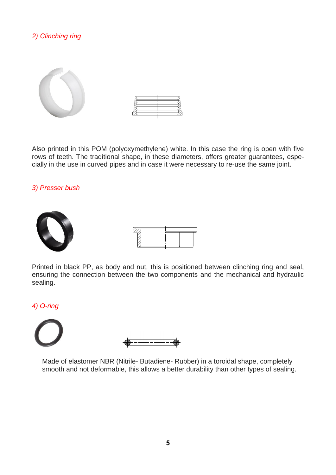## *2) Clinching ring*





Also printed in this POM (polyoxymethylene) white. In this case the ring is open with five rows of teeth. The traditional shape, in these diameters, offers greater guarantees, especially in the use in curved pipes and in case it were necessary to re-use the same joint.

#### *3) Presser bush*





Printed in black PP, as body and nut, this is positioned between clinching ring and seal, ensuring the connection between the two components and the mechanical and hydraulic sealing.

#### *4) O-ring*





Made of elastomer NBR (Nitrile- Butadiene- Rubber) in a toroidal shape, completely smooth and not deformable, this allows a better durability than other types of sealing.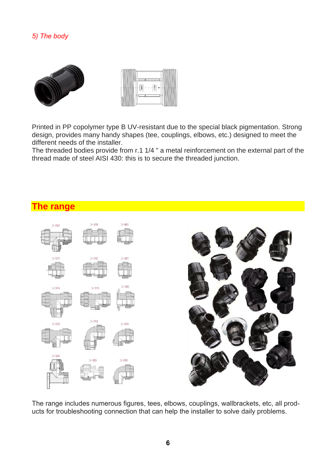### *5) The body*





Printed in PP copolymer type B UV-resistant due to the special black pigmentation. Strong design, provides many handy shapes (tee, couplings, elbows, etc.) designed to meet the different needs of the installer.

The threaded bodies provide from r.1 1/4 " a metal reinforcement on the external part of the thread made of steel AISI 430: this is to secure the threaded junction.

## **The range**



The range includes numerous figures, tees, elbows, couplings, wallbrackets, etc, all products for troubleshooting connection that can help the installer to solve daily problems.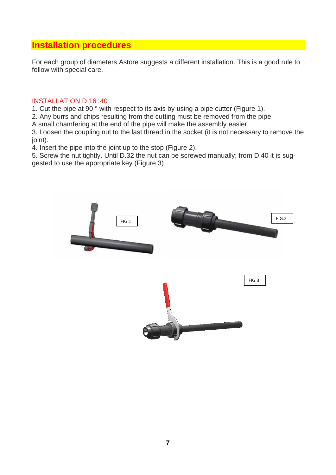# **Installation procedures**

For each group of diameters Astore suggests a different installation. This is a good rule to follow with special care.

#### INSTALLATION D 16÷40

1. Cut the pipe at 90 ° with respect to its axis by using a pipe cutter (Figure 1).

2. Any burrs and chips resulting from the cutting must be removed from the pipe

A small chamfering at the end of the pipe will make the assembly easier

3. Loosen the coupling nut to the last thread in the socket (it is not necessary to remove the joint).

4. Insert the pipe into the joint up to the stop (Figure 2).

5. Screw the nut tightly. Until D.32 the nut can be screwed manually; from D.40 it is suggested to use the appropriate key (Figure 3)